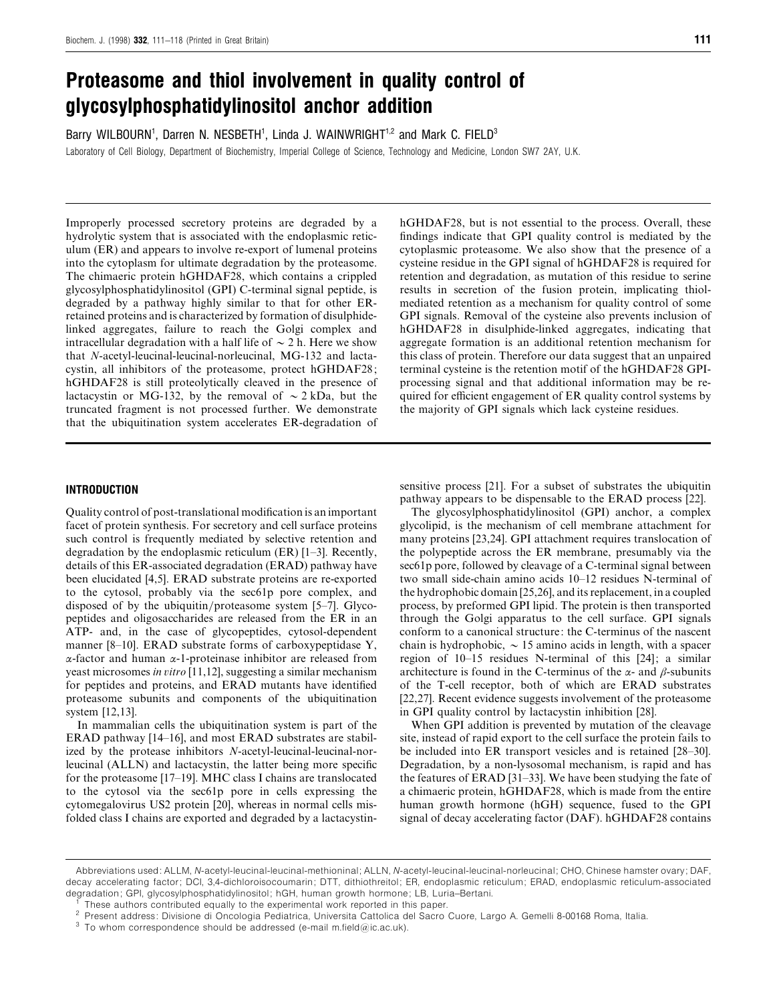# *Proteasome and thiol involvement in quality control of glycosylphosphatidylinositol anchor addition*

Barry WILBOURN<sup>1</sup>, Darren N. NESBETH<sup>1</sup>, Linda J. WAINWRIGHT<sup>1,2</sup> and Mark C. FIELD<sup>3</sup> Laboratory of Cell Biology, Department of Biochemistry, Imperial College of Science, Technology and Medicine, London SW7 2AY, U.K.

Improperly processed secretory proteins are degraded by a hydrolytic system that is associated with the endoplasmic reticulum (ER) and appears to involve re-export of lumenal proteins into the cytoplasm for ultimate degradation by the proteasome. The chimaeric protein hGHDAF28, which contains a crippled glycosylphosphatidylinositol (GPI) C-terminal signal peptide, is degraded by a pathway highly similar to that for other ERretained proteins and is characterized by formation of disulphidelinked aggregates, failure to reach the Golgi complex and intracellular degradation with a half life of  $\sim$  2 h. Here we show that *N*-acetyl-leucinal-leucinal-norleucinal, MG-132 and lactacystin, all inhibitors of the proteasome, protect hGHDAF28; hGHDAF28 is still proteolytically cleaved in the presence of lactacystin or MG-132, by the removal of  $\sim$  2 kDa, but the truncated fragment is not processed further. We demonstrate that the ubiquitination system accelerates ER-degradation of

# cytoplasmic proteasome. We also show that the presence of a cysteine residue in the GPI signal of hGHDAF28 is required for retention and degradation, as mutation of this residue to serine results in secretion of the fusion protein, implicating thiolmediated retention as a mechanism for quality control of some GPI signals. Removal of the cysteine also prevents inclusion of hGHDAF28 in disulphide-linked aggregates, indicating that aggregate formation is an additional retention mechanism for this class of protein. Therefore our data suggest that an unpaired terminal cysteine is the retention motif of the hGHDAF28 GPIprocessing signal and that additional information may be required for efficient engagement of ER quality control systems by the majority of GPI signals which lack cysteine residues.

hGHDAF28, but is not essential to the process. Overall, these findings indicate that GPI quality control is mediated by the

# *INTRODUCTION*

Quality control of post-translational modification is an important facet of protein synthesis. For secretory and cell surface proteins such control is frequently mediated by selective retention and degradation by the endoplasmic reticulum (ER) [1–3]. Recently, details of this ER-associated degradation (ERAD) pathway have been elucidated [4,5]. ERAD substrate proteins are re-exported to the cytosol, probably via the sec61p pore complex, and disposed of by the ubiquitin/proteasome system [5–7]. Glycopeptides and oligosaccharides are released from the ER in an ATP- and, in the case of glycopeptides, cytosol-dependent manner [8–10]. ERAD substrate forms of carboxypeptidase Y, α-factor and human α-1-proteinase inhibitor are released from yeast microsomes *in itro* [11,12], suggesting a similar mechanism for peptides and proteins, and ERAD mutants have identified proteasome subunits and components of the ubiquitination system [12,13].

In mammalian cells the ubiquitination system is part of the ERAD pathway [14–16], and most ERAD substrates are stabilized by the protease inhibitors *N*-acetyl-leucinal-leucinal-norleucinal (ALLN) and lactacystin, the latter being more specific for the proteasome [17–19]. MHC class I chains are translocated to the cytosol via the sec61p pore in cells expressing the cytomegalovirus US2 protein [20], whereas in normal cells misfolded class I chains are exported and degraded by a lactacystinsensitive process [21]. For a subset of substrates the ubiquitin pathway appears to be dispensable to the ERAD process [22].

The glycosylphosphatidylinositol (GPI) anchor, a complex glycolipid, is the mechanism of cell membrane attachment for many proteins [23,24]. GPI attachment requires translocation of the polypeptide across the ER membrane, presumably via the sec61p pore, followed by cleavage of a C-terminal signal between two small side-chain amino acids 10–12 residues N-terminal of the hydrophobic domain [25,26], and its replacement, in a coupled process, by preformed GPI lipid. The protein is then transported through the Golgi apparatus to the cell surface. GPI signals conform to a canonical structure: the C-terminus of the nascent chain is hydrophobic,  $\sim$  15 amino acids in length, with a spacer region of 10–15 residues N-terminal of this [24]; a similar architecture is found in the C-terminus of the  $\alpha$ - and  $\beta$ -subunits of the T-cell receptor, both of which are ERAD substrates [22,27]. Recent evidence suggests involvement of the proteasome in GPI quality control by lactacystin inhibition [28].

When GPI addition is prevented by mutation of the cleavage site, instead of rapid export to the cell surface the protein fails to be included into ER transport vesicles and is retained [28–30]. Degradation, by a non-lysosomal mechanism, is rapid and has the features of ERAD [31–33]. We have been studying the fate of a chimaeric protein, hGHDAF28, which is made from the entire human growth hormone (hGH) sequence, fused to the GPI signal of decay accelerating factor (DAF). hGHDAF28 contains

Abbreviations used: ALLM, *N*-acetyl-leucinal-leucinal-methioninal; ALLN, *N*-acetyl-leucinal-leucinal-norleucinal; CHO, Chinese hamster ovary; DAF, decay accelerating factor; DCI, 3,4-dichloroisocoumarin; DTT, dithiothreitol; ER, endoplasmic reticulum; ERAD, endoplasmic reticulum-associated degradation; GPI, glycosylphosphatidylinositol; hGH, human growth hormone; LB, Luria–Bertani.<br><sup>1</sup> These authors contributed equally to the experimental work reported in this paper.<br><sup>2</sup> Present address: Divisione di Oncolog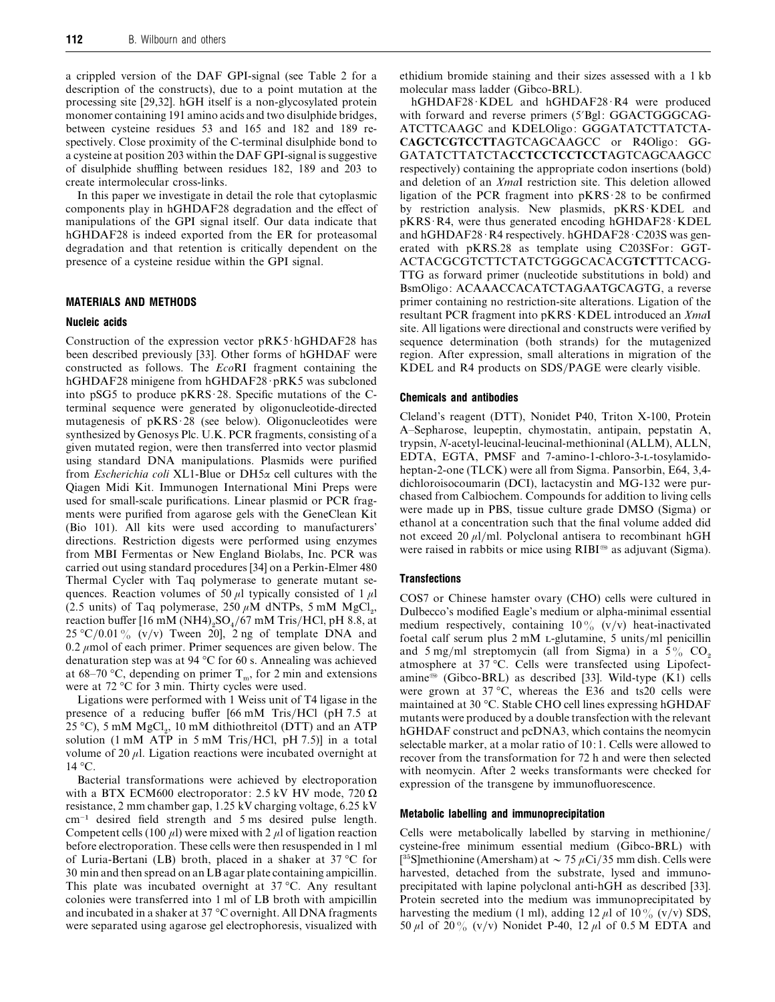a crippled version of the DAF GPI-signal (see Table 2 for a description of the constructs), due to a point mutation at the processing site [29,32]. hGH itself is a non-glycosylated protein monomer containing 191 amino acids and two disulphide bridges, between cysteine residues 53 and 165 and 182 and 189 respectively. Close proximity of the C-terminal disulphide bond to a cysteine at position 203 within the DAF GPI-signal is suggestive of disulphide shuffling between residues 182, 189 and 203 to create intermolecular cross-links.

In this paper we investigate in detail the role that cytoplasmic components play in hGHDAF28 degradation and the effect of manipulations of the GPI signal itself. Our data indicate that hGHDAF28 is indeed exported from the ER for proteasomal degradation and that retention is critically dependent on the presence of a cysteine residue within the GPI signal.

## *MATERIALS AND METHODS*

#### *Nucleic acids*

Construction of the expression vector pRK5·hGHDAF28 has been described previously [33]. Other forms of hGHDAF were constructed as follows. The *Eco*RI fragment containing the hGHDAF28 minigene from hGHDAF28 · pRK5 was subcloned into pSG5 to produce  $pKRS \cdot 28$ . Specific mutations of the Cterminal sequence were generated by oligonucleotide-directed mutagenesis of  $pKRS \cdot 28$  (see below). Oligonucleotides were synthesized by Genosys Plc. U.K. PCR fragments, consisting of a given mutated region, were then transferred into vector plasmid using standard DNA manipulations. Plasmids were purified from *Escherichia coli* XL1-Blue or DH5α cell cultures with the Qiagen Midi Kit. Immunogen International Mini Preps were used for small-scale purifications. Linear plasmid or PCR fragments were purified from agarose gels with the GeneClean Kit (Bio 101). All kits were used according to manufacturers' directions. Restriction digests were performed using enzymes from MBI Fermentas or New England Biolabs, Inc. PCR was carried out using standard procedures [34] on a Perkin-Elmer 480 Thermal Cycler with Taq polymerase to generate mutant sequences. Reaction volumes of 50  $\mu$ l typically consisted of 1  $\mu$ l (2.5 units) of Taq polymerase,  $250 \mu M$  dNTPs, 5 mM MgCl<sub>2</sub>, reaction buffer  $[16 \text{ mM} (NH4)_{,}SO_4/67 \text{ mM}$  Tris/HCl, pH 8.8, at 25 °C/0.01% (v/v) Tween 20], 2 ng of template DNA and 0.2  $\mu$ mol of each primer. Primer sequences are given below. The denaturation step was at 94 °C for 60 s. Annealing was achieved at 68–70 °C, depending on primer  $T_m$ , for 2 min and extensions were at 72 °C for 3 min. Thirty cycles were used.

Ligations were performed with 1 Weiss unit of T4 ligase in the presence of a reducing buffer [66 mM Tris/HCl (pH 7.5 at 25 °C), 5 mM  $MgCl<sub>2</sub>$ , 10 mM dithiothreitol (DTT) and an ATP solution (1 mM ATP in 5 mM Tris/HCl, pH 7.5)] in a total volume of 20  $\mu$ l. Ligation reactions were incubated overnight at  $14 \degree C$ .

Bacterial transformations were achieved by electroporation with a BTX ECM600 electroporator: 2.5 kV HV mode, 720  $\Omega$ resistance, 2 mm chamber gap, 1.25 kV charging voltage, 6.25 kV cm−" desired field strength and 5 ms desired pulse length. Competent cells (100  $\mu$ l) were mixed with 2  $\mu$ l of ligation reaction before electroporation. These cells were then resuspended in 1 ml of Luria-Bertani (LB) broth, placed in a shaker at 37 °C for 30 min and then spread on an LB agar plate containing ampicillin. This plate was incubated overnight at 37 °C. Any resultant colonies were transferred into 1 ml of LB broth with ampicillin and incubated in a shaker at 37 °C overnight. All DNA fragments were separated using agarose gel electrophoresis, visualized with

ethidium bromide staining and their sizes assessed with a 1 kb molecular mass ladder (Gibco-BRL).

hGHDAF28 KDEL and hGHDAF28 R4 were produced with forward and reverse primers (5'Bgl: GGACTGGGCAG-ATCTTCAAGC and KDELOligo: GGGATATCTTATCTA-**CAGCTCGTCCTT**AGTCAGCAAGCC or R4Oligo: GG-GATATCTTATCTA**CCTCCTCCTCCT**AGTCAGCAAGCC respectively) containing the appropriate codon insertions (bold) and deletion of an *Xma*I restriction site. This deletion allowed ligation of the PCR fragment into  $pKRS \cdot 28$  to be confirmed by restriction analysis. New plasmids, pKRS KDEL and  $pKRS \cdot R4$ , were thus generated encoding hGHDAF28  $\cdot$ KDEL and hGHDAF28 $\cdot$ R4 respectively. hGHDAF28 $\cdot$ C203S was generated with pKRS.28 as template using C203SFor: GGT-ACTACGCGTCTTCTATCTGGGCACACG**TCT**TTCACG-TTG as forward primer (nucleotide substitutions in bold) and BsmOligo: ACAAACCACATCTAGAATGCAGTG, a reverse primer containing no restriction-site alterations. Ligation of the resultant PCR fragment into pKRS · KDEL introduced an *XmaI* site. All ligations were directional and constructs were verified by sequence determination (both strands) for the mutagenized region. After expression, small alterations in migration of the KDEL and R4 products on SDS/PAGE were clearly visible.

# *Chemicals and antibodies*

Cleland's reagent (DTT), Nonidet P40, Triton X-100, Protein A–Sepharose, leupeptin, chymostatin, antipain, pepstatin A, trypsin, *N*-acetyl-leucinal-leucinal-methioninal (ALLM), ALLN, EDTA, EGTA, PMSF and 7-amino-1-chloro-3-L-tosylamidoheptan-2-one (TLCK) were all from Sigma. Pansorbin, E64, 3,4 dichloroisocoumarin (DCI), lactacystin and MG-132 were purchased from Calbiochem. Compounds for addition to living cells were made up in PBS, tissue culture grade DMSO (Sigma) or ethanol at a concentration such that the final volume added did not exceed 20  $\mu$ l/ml. Polyclonal antisera to recombinant hGH were raised in rabbits or mice using RIBI<sup>®</sup> as adjuvant (Sigma).

## *Transfections*

COS7 or Chinese hamster ovary (CHO) cells were cultured in Dulbecco's modified Eagle's medium or alpha-minimal essential medium respectively, containing  $10\%$  (v/v) heat-inactivated foetal calf serum plus  $2 \text{ mM } L$ -glutamine,  $5 \text{ units/ml}$  penicillin and  $5 \text{ mg/ml}$  streptomycin (all from Sigma) in a  $5\%$  CO<sub>2</sub> atmosphere at 37 °C. Cells were transfected using Lipofectamine<sup>®</sup> (Gibco-BRL) as described [33]. Wild-type (K1) cells were grown at  $37 \text{ °C}$ , whereas the E36 and ts20 cells were maintained at 30 °C. Stable CHO cell lines expressing hGHDAF mutants were produced by a double transfection with the relevant hGHDAF construct and pcDNA3, which contains the neomycin selectable marker, at a molar ratio of 10: 1. Cells were allowed to recover from the transformation for 72 h and were then selected with neomycin. After 2 weeks transformants were checked for expression of the transgene by immunofluorescence.

# *Metabolic labelling and immunoprecipitation*

Cells were metabolically labelled by starving in methionine/ cysteine-free minimum essential medium (Gibco-BRL) with [<sup>35</sup>S]methionine (Amersham) at  $\sim$  75  $\mu$ Ci/35 mm dish. Cells were harvested, detached from the substrate, lysed and immunoprecipitated with lapine polyclonal anti-hGH as described [33]. Protein secreted into the medium was immunoprecipitated by harvesting the medium (1 ml), adding 12  $\mu$ l of 10% (v/v) SDS, 50  $\mu$ l of 20% (v/v) Nonidet P-40, 12  $\mu$ l of 0.5 M EDTA and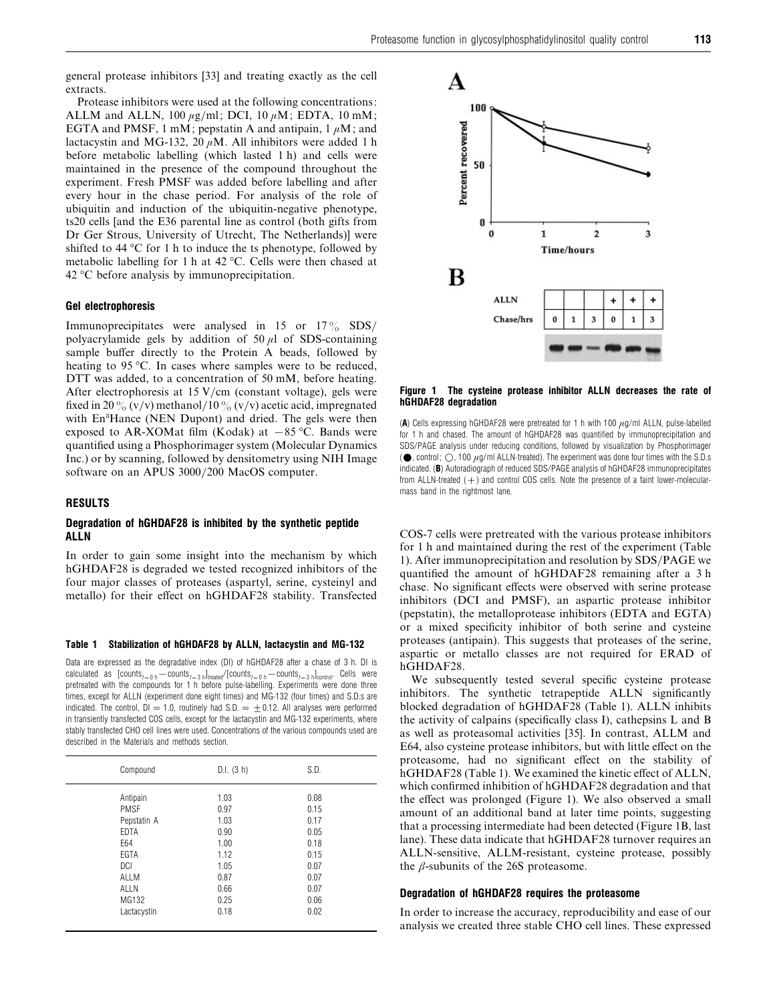general protease inhibitors [33] and treating exactly as the cell extracts.

Protease inhibitors were used at the following concentrations: ALLM and ALLN, 100  $\mu$ g/ml; DCI, 10  $\mu$ M; EDTA, 10 mM; EGTA and PMSF, 1 mM; pepstatin A and antipain,  $1 \mu M$ ; and lactacystin and MG-132, 20  $\mu$ M. All inhibitors were added 1 h before metabolic labelling (which lasted 1 h) and cells were maintained in the presence of the compound throughout the experiment. Fresh PMSF was added before labelling and after every hour in the chase period. For analysis of the role of ubiquitin and induction of the ubiquitin-negative phenotype, ts20 cells [and the E36 parental line as control (both gifts from Dr Ger Strous, University of Utrecht, The Netherlands)] were shifted to 44 °C for 1 h to induce the ts phenotype, followed by metabolic labelling for 1 h at 42 °C. Cells were then chased at 42 °C before analysis by immunoprecipitation.

# *Gel electrophoresis*

Immunoprecipitates were analysed in 15 or  $17\%$  SDS/ polyacrylamide gels by addition of 50  $\mu$ l of SDS-containing sample buffer directly to the Protein A beads, followed by heating to 95 °C. In cases where samples were to be reduced, DTT was added, to a concentration of 50 mM, before heating. After electrophoresis at  $15$  V/cm (constant voltage), gels were fixed in 20% (v/v) methanol/10% (v/v) acetic acid, impregnated with En<sup>3</sup>Hance (NEN Dupont) and dried. The gels were then exposed to AR-XOMat film (Kodak) at  $-85$  °C. Bands were quantified using a Phosphorimager system (Molecular Dynamics Inc.) or by scanning, followed by densitometry using NIH Image software on an APUS 3000/200 MacOS computer.

# *RESULTS*

## *Degradation of hGHDAF28 is inhibited by the synthetic peptide ALLN*

In order to gain some insight into the mechanism by which hGHDAF28 is degraded we tested recognized inhibitors of the four major classes of proteases (aspartyl, serine, cysteinyl and metallo) for their effect on hGHDAF28 stability. Transfected

## *Table 1 Stabilization of hGHDAF28 by ALLN, lactacystin and MG-132*

Data are expressed as the degradative index (DI) of hGHDAF28 after a chase of 3 h. DI is calculated as  $[counts_{t=0 h} - counts_{t=3 h}]_{treated}/[counts_{t=0 h} - counts_{t=3 h}]_{control}$ . Cells were pretreated with the compounds for 1 h before pulse-labelling. Experiments were done three times, except for ALLN (experiment done eight times) and MG-132 (four times) and S.D.s are indicated. The control,  $DI = 1.0$ , routinely had S.D.  $= \pm 0.12$ . All analyses were performed in transiently transfected COS cells, except for the lactacystin and MG-132 experiments, where stably transfected CHO cell lines were used. Concentrations of the various compounds used are described in the Materials and methods section.

| Compound    | D.I. (3 h) | S.D. |  |
|-------------|------------|------|--|
| Antipain    | 1.03       | 0.08 |  |
| <b>PMSF</b> | 0.97       | 0.15 |  |
| Pepstatin A | 1.03       | 0.17 |  |
| <b>EDTA</b> | 0.90       | 0.05 |  |
| E64         | 1.00       | 0.18 |  |
| EGTA        | 1.12       | 0.15 |  |
| <b>DCI</b>  | 1.05       | 0.07 |  |
| ALLM        | 0.87       | 0.07 |  |
| ALLN        | 0.66       | 0.07 |  |
| MG132       | 0.25       | 0.06 |  |
| Lactacystin | 0.18       | 0.02 |  |
|             |            |      |  |



#### *Figure 1 The cysteine protease inhibitor ALLN decreases the rate of hGHDAF28 degradation*

(A) Cells expressing hGHDAF28 were pretreated for 1 h with 100  $\mu$ g/ml ALLN, pulse-labelled for 1 h and chased. The amount of hGHDAF28 was quantified by immunoprecipitation and SDS/PAGE analysis under reducing conditions, followed by visualization by Phosphorimager ( $\bullet$ , control;  $\bigcirc$ , 100  $\mu$ g/ml ALLN-treated). The experiment was done four times with the S.D.s indicated. (*B*) Autoradiograph of reduced SDS/PAGE analysis of hGHDAF28 immunoprecipitates from ALLN-treated  $(+)$  and control COS cells. Note the presence of a faint lower-molecularmass band in the rightmost lane.

COS-7 cells were pretreated with the various protease inhibitors for 1 h and maintained during the rest of the experiment (Table 1). After immunoprecipitation and resolution by SDS}PAGE we quantified the amount of hGHDAF28 remaining after a 3 h chase. No significant effects were observed with serine protease inhibitors (DCI and PMSF), an aspartic protease inhibitor (pepstatin), the metalloprotease inhibitors (EDTA and EGTA) or a mixed specificity inhibitor of both serine and cysteine proteases (antipain). This suggests that proteases of the serine, aspartic or metallo classes are not required for ERAD of hGHDAF28.

We subsequently tested several specific cysteine protease inhibitors. The synthetic tetrapeptide ALLN significantly blocked degradation of hGHDAF28 (Table 1). ALLN inhibits the activity of calpains (specifically class I), cathepsins L and B as well as proteasomal activities [35]. In contrast, ALLM and E64, also cysteine protease inhibitors, but with little effect on the proteasome, had no significant effect on the stability of hGHDAF28 (Table 1). We examined the kinetic effect of ALLN, which confirmed inhibition of hGHDAF28 degradation and that the effect was prolonged (Figure 1). We also observed a small amount of an additional band at later time points, suggesting that a processing intermediate had been detected (Figure 1B, last lane). These data indicate that hGHDAF28 turnover requires an ALLN-sensitive, ALLM-resistant, cysteine protease, possibly the  $\beta$ -subunits of the 26S proteasome.

## *Degradation of hGHDAF28 requires the proteasome*

In order to increase the accuracy, reproducibility and ease of our analysis we created three stable CHO cell lines. These expressed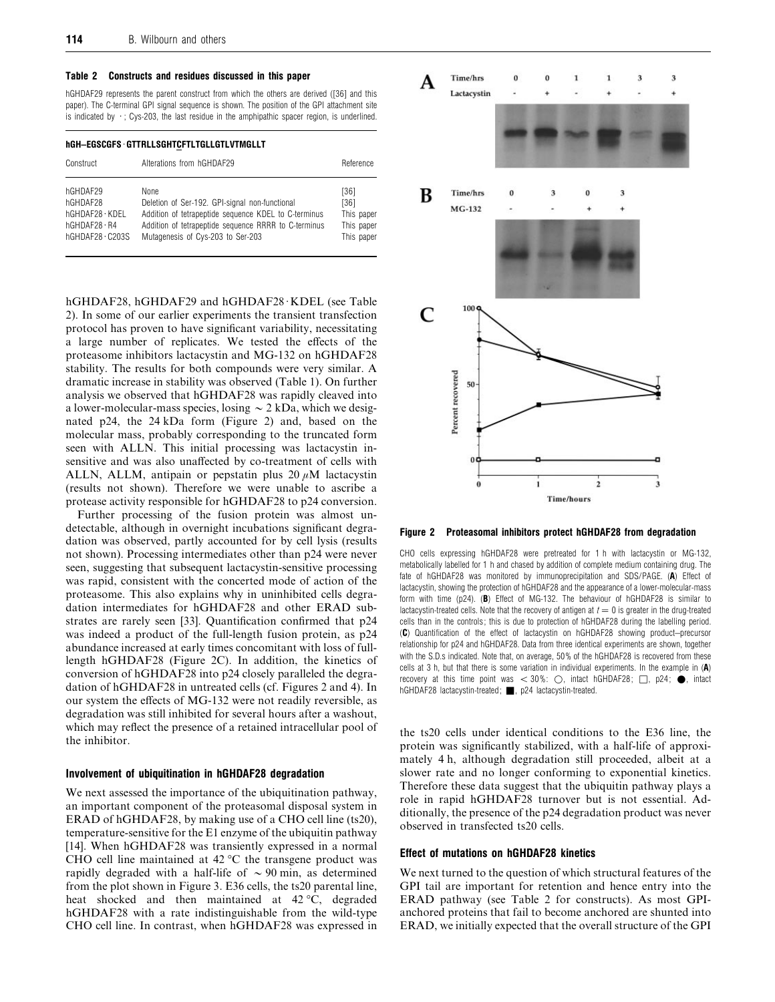#### *Table 2 Constructs and residues discussed in this paper*

hGHDAF29 represents the parent construct from which the others are derived ([36] and this paper). The C-terminal GPI signal sequence is shown. The position of the GPI attachment site is indicated by  $\cdot$ ; Cys-203, the last residue in the amphipathic spacer region, is underlined.

# *hGH–EGSCGFS*[*GTTRLLSGHTCFTLTGLLGTLVTMGLLT*

| Construct              | Alterations from hGHDAF29                            | Reference  |
|------------------------|------------------------------------------------------|------------|
| hGHDAF29               | None                                                 | [36]       |
| hGHDAF28               | Deletion of Ser-192. GPI-signal non-functional       | [36]       |
| hGHDAF28 · KDEL        | Addition of tetrapeptide sequence KDEL to C-terminus | This paper |
| $h$ GHDAF28 $\cdot$ R4 | Addition of tetrapeptide sequence RRRR to C-terminus | This paper |
| $hGHDAF28 \cdot C203S$ | Mutagenesis of Cys-203 to Ser-203                    | This paper |

hGHDAF28, hGHDAF29 and hGHDAF28 KDEL (see Table 2). In some of our earlier experiments the transient transfection protocol has proven to have significant variability, necessitating a large number of replicates. We tested the effects of the proteasome inhibitors lactacystin and MG-132 on hGHDAF28 stability. The results for both compounds were very similar. A dramatic increase in stability was observed (Table 1). On further analysis we observed that hGHDAF28 was rapidly cleaved into a lower-molecular-mass species, losing  $\sim$  2 kDa, which we designated p24, the 24 kDa form (Figure 2) and, based on the molecular mass, probably corresponding to the truncated form seen with ALLN. This initial processing was lactacystin insensitive and was also unaffected by co-treatment of cells with ALLN, ALLM, antipain or pepstatin plus  $20 \mu M$  lactacystin (results not shown). Therefore we were unable to ascribe a protease activity responsible for hGHDAF28 to p24 conversion.

Further processing of the fusion protein was almost undetectable, although in overnight incubations significant degradation was observed, partly accounted for by cell lysis (results not shown). Processing intermediates other than p24 were never seen, suggesting that subsequent lactacystin-sensitive processing was rapid, consistent with the concerted mode of action of the proteasome. This also explains why in uninhibited cells degradation intermediates for hGHDAF28 and other ERAD substrates are rarely seen [33]. Quantification confirmed that p24 was indeed a product of the full-length fusion protein, as p24 abundance increased at early times concomitant with loss of fulllength hGHDAF28 (Figure 2C). In addition, the kinetics of conversion of hGHDAF28 into p24 closely paralleled the degradation of hGHDAF28 in untreated cells (cf. Figures 2 and 4). In our system the effects of MG-132 were not readily reversible, as degradation was still inhibited for several hours after a washout, which may reflect the presence of a retained intracellular pool of the inhibitor.

# *Involvement of ubiquitination in hGHDAF28 degradation*

We next assessed the importance of the ubiquitination pathway, an important component of the proteasomal disposal system in ERAD of hGHDAF28, by making use of a CHO cell line (ts20), temperature-sensitive for the E1 enzyme of the ubiquitin pathway [14]. When hGHDAF28 was transiently expressed in a normal CHO cell line maintained at 42 °C the transgene product was rapidly degraded with a half-life of  $\sim$  90 min, as determined from the plot shown in Figure 3. E36 cells, the ts20 parental line, heat shocked and then maintained at 42 °C, degraded hGHDAF28 with a rate indistinguishable from the wild-type CHO cell line. In contrast, when hGHDAF28 was expressed in



*Figure 2 Proteasomal inhibitors protect hGHDAF28 from degradation*

CHO cells expressing hGHDAF28 were pretreated for 1 h with lactacystin or MG-132, metabolically labelled for 1 h and chased by addition of complete medium containing drug. The fate of hGHDAF28 was monitored by immunoprecipitation and SDS/PAGE. (*A*) Effect of lactacystin, showing the protection of hGHDAF28 and the appearance of a lower-molecular-mass form with time (p24). (*B*) Effect of MG-132. The behaviour of hGHDAF28 is similar to lactacystin-treated cells. Note that the recovery of antigen at  $t=0$  is greater in the drug-treated cells than in the controls ; this is due to protection of hGHDAF28 during the labelling period. (*C*) Quantification of the effect of lactacystin on hGHDAF28 showing product–precursor relationship for p24 and hGHDAF28. Data from three identical experiments are shown, together with the S.D.s indicated. Note that, on average, 50 % of the hGHDAF28 is recovered from these cells at 3 h, but that there is some variation in individual experiments. In the example in (*A*) recovery at this time point was  $<$  30%:  $\bigcirc$ , intact hGHDAF28;  $\Box$ , p24;  $\bullet$ , intact hGHDAF28 lactacystin-treated; |, p24 lactacystin-treated.

the ts20 cells under identical conditions to the E36 line, the protein was significantly stabilized, with a half-life of approximately 4 h, although degradation still proceeded, albeit at a slower rate and no longer conforming to exponential kinetics. Therefore these data suggest that the ubiquitin pathway plays a role in rapid hGHDAF28 turnover but is not essential. Additionally, the presence of the p24 degradation product was never observed in transfected ts20 cells.

# *Effect of mutations on hGHDAF28 kinetics*

We next turned to the question of which structural features of the GPI tail are important for retention and hence entry into the ERAD pathway (see Table 2 for constructs). As most GPIanchored proteins that fail to become anchored are shunted into ERAD, we initially expected that the overall structure of the GPI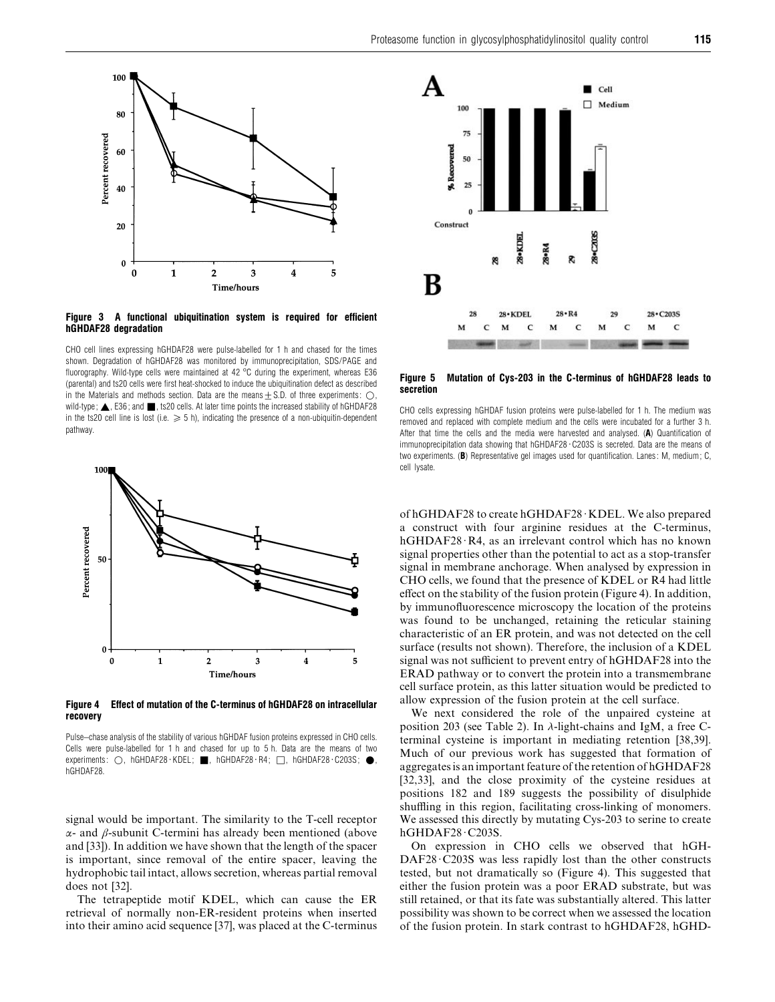

## *Figure 3 A functional ubiquitination system is required for efficient hGHDAF28 degradation*

CHO cell lines expressing hGHDAF28 were pulse-labelled for 1 h and chased for the times shown. Degradation of hGHDAF28 was monitored by immunoprecipitation, SDS/PAGE and fluorography. Wild-type cells were maintained at 42 °C during the experiment, whereas E36 (parental) and ts20 cells were first heat-shocked to induce the ubiquitination defect as described in the Materials and methods section. Data are the means  $\pm$  S.D. of three experiments:  $\bigcirc$ , wild-type;  $\triangle$ , E36; and  $\blacksquare$ , ts20 cells. At later time points the increased stability of hGHDAF28 in the ts20 cell line is lost (i.e.  $\geq 5$  h), indicating the presence of a non-ubiquitin-dependent pathway.



*Figure 4 Effect of mutation of the C-terminus of hGHDAF28 on intracellular recovery*

Pulse–chase analysis of the stability of various hGHDAF fusion proteins expressed in CHO cells. Cells were pulse-labelled for 1 h and chased for up to 5 h. Data are the means of two experiments:  $\bigcirc$ , hGHDAF28·KDEL; , hGHDAF28·R4;  $\Box$ , hGHDAF28·C203S;  $\bigcirc$ , hGHDAF28.

signal would be important. The similarity to the T-cell receptor  $α$ - and  $β$ -subunit C-termini has already been mentioned (above and [33]). In addition we have shown that the length of the spacer is important, since removal of the entire spacer, leaving the hydrophobic tail intact, allows secretion, whereas partial removal does not [32].

The tetrapeptide motif KDEL, which can cause the ER retrieval of normally non-ER-resident proteins when inserted into their amino acid sequence [37], was placed at the C-terminus



*Figure 5 Mutation of Cys-203 in the C-terminus of hGHDAF28 leads to secretion*

CHO cells expressing hGHDAF fusion proteins were pulse-labelled for 1 h. The medium was removed and replaced with complete medium and the cells were incubated for a further 3 h. After that time the cells and the media were harvested and analysed. (*A*) Quantification of immunoprecipitation data showing that hGHDAF28 · C203S is secreted. Data are the means of two experiments. (*B*) Representative gel images used for quantification. Lanes : M, medium ; C, cell lysate.

of hGHDAF28 to create hGHDAF28 $\cdot$ KDEL. We also prepared a construct with four arginine residues at the C-terminus, hGHDAF28 $\cdot$ R4, as an irrelevant control which has no known signal properties other than the potential to act as a stop-transfer signal in membrane anchorage. When analysed by expression in CHO cells, we found that the presence of KDEL or R4 had little effect on the stability of the fusion protein (Figure 4). In addition, by immunofluorescence microscopy the location of the proteins was found to be unchanged, retaining the reticular staining characteristic of an ER protein, and was not detected on the cell surface (results not shown). Therefore, the inclusion of a KDEL signal was not sufficient to prevent entry of hGHDAF28 into the ERAD pathway or to convert the protein into a transmembrane cell surface protein, as this latter situation would be predicted to allow expression of the fusion protein at the cell surface.

We next considered the role of the unpaired cysteine at position 203 (see Table 2). In λ-light-chains and IgM, a free Cterminal cysteine is important in mediating retention [38,39]. Much of our previous work has suggested that formation of aggregates is an important feature of the retention of hGHDAF28 [32,33], and the close proximity of the cysteine residues at positions 182 and 189 suggests the possibility of disulphide shuffling in this region, facilitating cross-linking of monomers. We assessed this directly by mutating Cys-203 to serine to create hGHDAF28·C203S.

On expression in CHO cells we observed that hGH- $DAF28 \cdot C203S$  was less rapidly lost than the other constructs tested, but not dramatically so (Figure 4). This suggested that either the fusion protein was a poor ERAD substrate, but was still retained, or that its fate was substantially altered. This latter possibility was shown to be correct when we assessed the location of the fusion protein. In stark contrast to hGHDAF28, hGHD-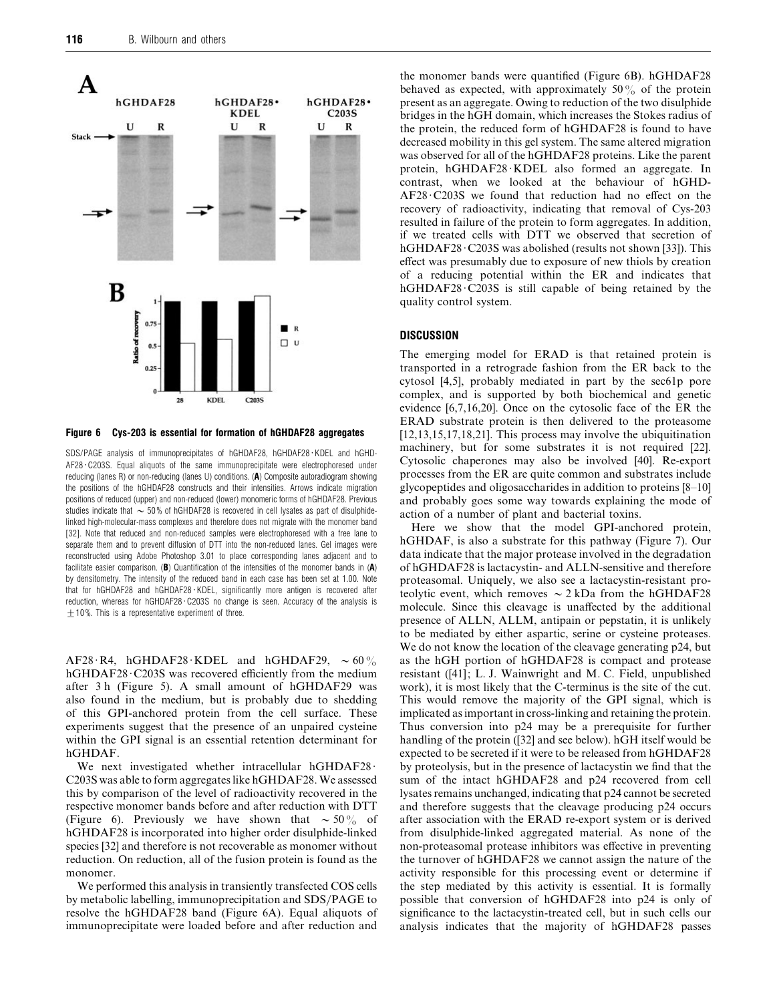

*Figure 6 Cys-203 is essential for formation of hGHDAF28 aggregates*

SDS/PAGE analysis of immunoprecipitates of hGHDAF28, hGHDAF28 · KDEL and hGHD- $AF28 \cdot C203S$ . Equal aliquots of the same immunoprecipitate were electrophoresed under reducing (lanes R) or non-reducing (lanes U) conditions. (*A*) Composite autoradiogram showing the positions of the hGHDAF28 constructs and their intensities. Arrows indicate migration positions of reduced (upper) and non-reduced (lower) monomeric forms of hGHDAF28. Previous studies indicate that  $\sim$  50% of hGHDAF28 is recovered in cell lysates as part of disulphidelinked high-molecular-mass complexes and therefore does not migrate with the monomer band [32]. Note that reduced and non-reduced samples were electrophoresed with a free lane to separate them and to prevent diffusion of DTT into the non-reduced lanes. Gel images were reconstructed using Adobe Photoshop 3.01 to place corresponding lanes adjacent and to facilitate easier comparison. (*B*) Quantification of the intensities of the monomer bands in (*A*) by densitometry. The intensity of the reduced band in each case has been set at 1.00. Note that for hGHDAF28 and hGHDAF28 · KDEL, significantly more antigen is recovered after reduction, whereas for hGHDAF28 · C203S no change is seen. Accuracy of the analysis is  $±$  10%. This is a representative experiment of three.

AF28·R4, hGHDAF28·KDEL and hGHDAF29,  $\sim 60\%$ hGHDAF28 · C203S was recovered efficiently from the medium after 3 h (Figure 5). A small amount of hGHDAF29 was also found in the medium, but is probably due to shedding of this GPI-anchored protein from the cell surface. These experiments suggest that the presence of an unpaired cysteine within the GPI signal is an essential retention determinant for hGHDAF.

We next investigated whether intracellular hGHDAF28 $\cdot$ C203S was able to form aggregates like hGHDAF28. We assessed this by comparison of the level of radioactivity recovered in the respective monomer bands before and after reduction with DTT (Figure 6). Previously we have shown that  $\sim 50\%$  of hGHDAF28 is incorporated into higher order disulphide-linked species [32] and therefore is not recoverable as monomer without reduction. On reduction, all of the fusion protein is found as the monomer.

We performed this analysis in transiently transfected COS cells by metabolic labelling, immunoprecipitation and SDS/PAGE to resolve the hGHDAF28 band (Figure 6A). Equal aliquots of immunoprecipitate were loaded before and after reduction and

the monomer bands were quantified (Figure 6B). hGHDAF28 behaved as expected, with approximately  $50\%$  of the protein present as an aggregate. Owing to reduction of the two disulphide bridges in the hGH domain, which increases the Stokes radius of the protein, the reduced form of hGHDAF28 is found to have decreased mobility in this gel system. The same altered migration was observed for all of the hGHDAF28 proteins. Like the parent protein, hGHDAF28 KDEL also formed an aggregate. In contrast, when we looked at the behaviour of hGHD- $AF28 \cdot C203S$  we found that reduction had no effect on the recovery of radioactivity, indicating that removal of Cys-203 resulted in failure of the protein to form aggregates. In addition, if we treated cells with DTT we observed that secretion of hGHDAF28·C203S was abolished (results not shown [33]). This effect was presumably due to exposure of new thiols by creation of a reducing potential within the ER and indicates that hGHDAF28 $\cdot$ C203S is still capable of being retained by the quality control system.

# *DISCUSSION*

The emerging model for ERAD is that retained protein is transported in a retrograde fashion from the ER back to the cytosol [4,5], probably mediated in part by the sec61p pore complex, and is supported by both biochemical and genetic evidence [6,7,16,20]. Once on the cytosolic face of the ER the ERAD substrate protein is then delivered to the proteasome [12,13,15,17,18,21]. This process may involve the ubiquitination machinery, but for some substrates it is not required [22]. Cytosolic chaperones may also be involved [40]. Re-export processes from the ER are quite common and substrates include glycopeptides and oligosaccharides in addition to proteins [8–10] and probably goes some way towards explaining the mode of action of a number of plant and bacterial toxins.

Here we show that the model GPI-anchored protein, hGHDAF, is also a substrate for this pathway (Figure 7). Our data indicate that the major protease involved in the degradation of hGHDAF28 is lactacystin- and ALLN-sensitive and therefore proteasomal. Uniquely, we also see a lactacystin-resistant proteolytic event, which removes  $\sim$  2 kDa from the hGHDAF28 molecule. Since this cleavage is unaffected by the additional presence of ALLN, ALLM, antipain or pepstatin, it is unlikely to be mediated by either aspartic, serine or cysteine proteases. We do not know the location of the cleavage generating p24, but as the hGH portion of hGHDAF28 is compact and protease resistant ([41]; L. J. Wainwright and M. C. Field, unpublished work), it is most likely that the C-terminus is the site of the cut. This would remove the majority of the GPI signal, which is implicated as important in cross-linking and retaining the protein. Thus conversion into p24 may be a prerequisite for further handling of the protein ([32] and see below). hGH itself would be expected to be secreted if it were to be released from hGHDAF28 by proteolysis, but in the presence of lactacystin we find that the sum of the intact hGHDAF28 and p24 recovered from cell lysates remains unchanged, indicating that p24 cannot be secreted and therefore suggests that the cleavage producing p24 occurs after association with the ERAD re-export system or is derived from disulphide-linked aggregated material. As none of the non-proteasomal protease inhibitors was effective in preventing the turnover of hGHDAF28 we cannot assign the nature of the activity responsible for this processing event or determine if the step mediated by this activity is essential. It is formally possible that conversion of hGHDAF28 into p24 is only of significance to the lactacystin-treated cell, but in such cells our analysis indicates that the majority of hGHDAF28 passes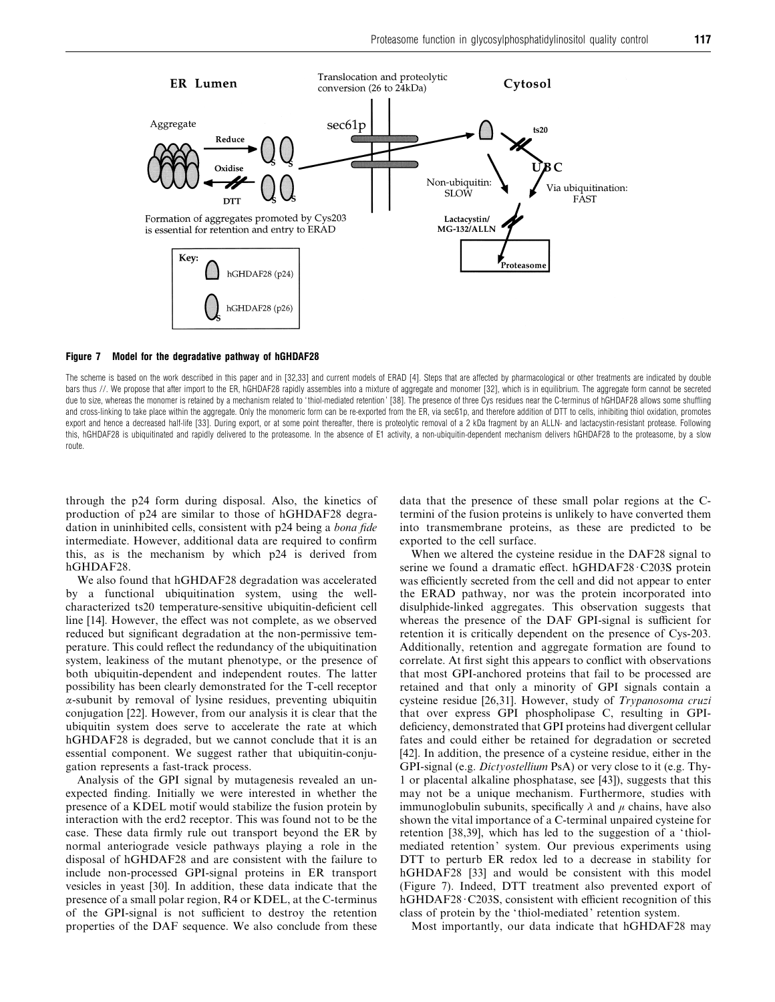

#### *Figure 7 Model for the degradative pathway of hGHDAF28*

The scheme is based on the work described in this paper and in [32,33] and current models of ERAD [4]. Steps that are affected by pharmacological or other treatments are indicated by double bars thus //. We propose that after import to the ER, hGHDAF28 rapidly assembles into a mixture of aggregate and monomer [32], which is in equilibrium. The aggregate form cannot be secreted due to size, whereas the monomer is retained by a mechanism related to ' thiol-mediated retention ' [38]. The presence of three Cys residues near the C-terminus of hGHDAF28 allows some shuffling and cross-linking to take place within the aggregate. Only the monomeric form can be re-exported from the ER, via sec61p, and therefore addition of DTT to cells, inhibiting thiol oxidation, promotes export and hence a decreased half-life [33]. During export, or at some point thereafter, there is proteolytic removal of a 2 kDa fragment by an ALLN- and lactacystin-resistant protease. Following this, hGHDAF28 is ubiquitinated and rapidly delivered to the proteasome. In the absence of E1 activity, a non-ubiquitin-dependent mechanism delivers hGHDAF28 to the proteasome, by a slow route.

through the p24 form during disposal. Also, the kinetics of production of p24 are similar to those of hGHDAF28 degradation in uninhibited cells, consistent with p24 being a *bona fide* intermediate. However, additional data are required to confirm this, as is the mechanism by which p24 is derived from hGHDAF28.

We also found that hGHDAF28 degradation was accelerated by a functional ubiquitination system, using the wellcharacterized ts20 temperature-sensitive ubiquitin-deficient cell line [14]. However, the effect was not complete, as we observed reduced but significant degradation at the non-permissive temperature. This could reflect the redundancy of the ubiquitination system, leakiness of the mutant phenotype, or the presence of both ubiquitin-dependent and independent routes. The latter possibility has been clearly demonstrated for the T-cell receptor α-subunit by removal of lysine residues, preventing ubiquitin conjugation [22]. However, from our analysis it is clear that the ubiquitin system does serve to accelerate the rate at which hGHDAF28 is degraded, but we cannot conclude that it is an essential component. We suggest rather that ubiquitin-conjugation represents a fast-track process.

Analysis of the GPI signal by mutagenesis revealed an unexpected finding. Initially we were interested in whether the presence of a KDEL motif would stabilize the fusion protein by interaction with the erd2 receptor. This was found not to be the case. These data firmly rule out transport beyond the ER by normal anteriograde vesicle pathways playing a role in the disposal of hGHDAF28 and are consistent with the failure to include non-processed GPI-signal proteins in ER transport vesicles in yeast [30]. In addition, these data indicate that the presence of a small polar region, R4 or KDEL, at the C-terminus of the GPI-signal is not sufficient to destroy the retention properties of the DAF sequence. We also conclude from these data that the presence of these small polar regions at the Ctermini of the fusion proteins is unlikely to have converted them into transmembrane proteins, as these are predicted to be exported to the cell surface.

When we altered the cysteine residue in the DAF28 signal to serine we found a dramatic effect. hGHDAF28 C203S protein was efficiently secreted from the cell and did not appear to enter the ERAD pathway, nor was the protein incorporated into disulphide-linked aggregates. This observation suggests that whereas the presence of the DAF GPI-signal is sufficient for retention it is critically dependent on the presence of Cys-203. Additionally, retention and aggregate formation are found to correlate. At first sight this appears to conflict with observations that most GPI-anchored proteins that fail to be processed are retained and that only a minority of GPI signals contain a cysteine residue [26,31]. However, study of *Trypanosoma cruzi* that over express GPI phospholipase C, resulting in GPIdeficiency, demonstrated that GPI proteins had divergent cellular fates and could either be retained for degradation or secreted [42]. In addition, the presence of a cysteine residue, either in the GPI-signal (e.g. *Dictyostellium* PsA) or very close to it (e.g. Thy-1 or placental alkaline phosphatase, see [43]), suggests that this may not be a unique mechanism. Furthermore, studies with immunoglobulin subunits, specifically  $\lambda$  and  $\mu$  chains, have also shown the vital importance of a C-terminal unpaired cysteine for retention [38,39], which has led to the suggestion of a ' thiolmediated retention' system. Our previous experiments using DTT to perturb ER redox led to a decrease in stability for hGHDAF28 [33] and would be consistent with this model (Figure 7). Indeed, DTT treatment also prevented export of hGHDAF28·C203S, consistent with efficient recognition of this class of protein by the ' thiol-mediated' retention system.

Most importantly, our data indicate that hGHDAF28 may